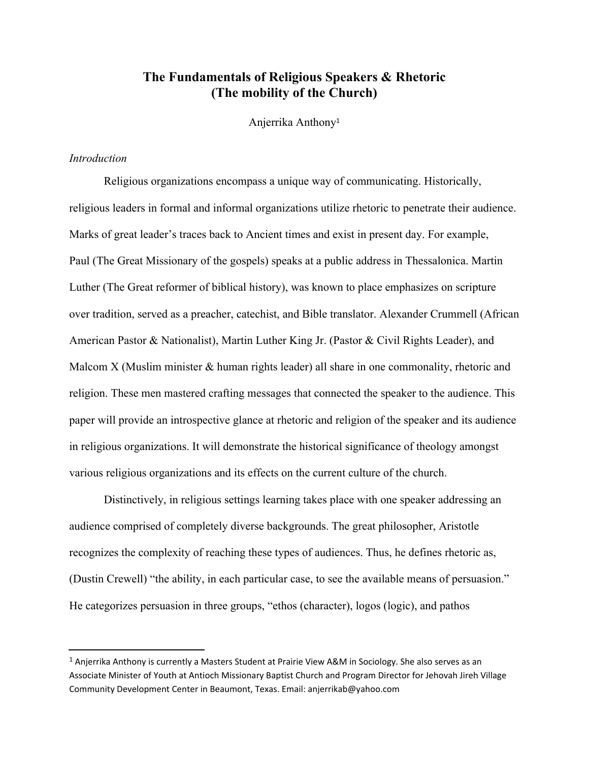# **The Fundamentals of Religious Speakers & Rhetoric (The mobility of the Church)**

Anjerrika Anthony 1

# *Introduction*

Religious organizations encompass a unique way of communicating. Historically, religious leaders in formal and informal organizations utilize rhetoric to penetrate their audience. Marks of great leader's traces back to Ancient times and exist in present day. For example, Paul (The Great Missionary of the gospels) speaks at a public address in Thessalonica. Martin Luther (The Great reformer of biblical history), was known to place emphasizes on scripture over tradition, served as a preacher, catechist, and Bible translator. Alexander Crummell (African American Pastor & Nationalist), Martin Luther King Jr. (Pastor & Civil Rights Leader), and Malcom X (Muslim minister & human rights leader) all share in one commonality, rhetoric and religion. These men mastered crafting messages that connected the speaker to the audience. This paper will provide an introspective glance at rhetoric and religion of the speaker and its audience in religious organizations. It will demonstrate the historical significance of theology amongst various religious organizations and its effects on the current culture of the church.

Distinctively, in religious settings learning takes place with one speaker addressing an audience comprised of completely diverse backgrounds. The great philosopher, Aristotle recognizes the complexity of reaching these types of audiences. Thus, he defines rhetoric as, (Dustin Crewell) "the ability, in each particular case, to see the available means of persuasion." He categorizes persuasion in three groups, "ethos (character), logos (logic), and pathos

<sup>&</sup>lt;sup>1</sup> Anjerrika Anthony is currently a Masters Student at Prairie View A&M in Sociology. She also serves as an Associate Minister of Youth at Antioch Missionary Baptist Church and Program Director for Jehovah Jireh Village Community Development Center in Beaumont, Texas. Email: anjerrikab@yahoo.com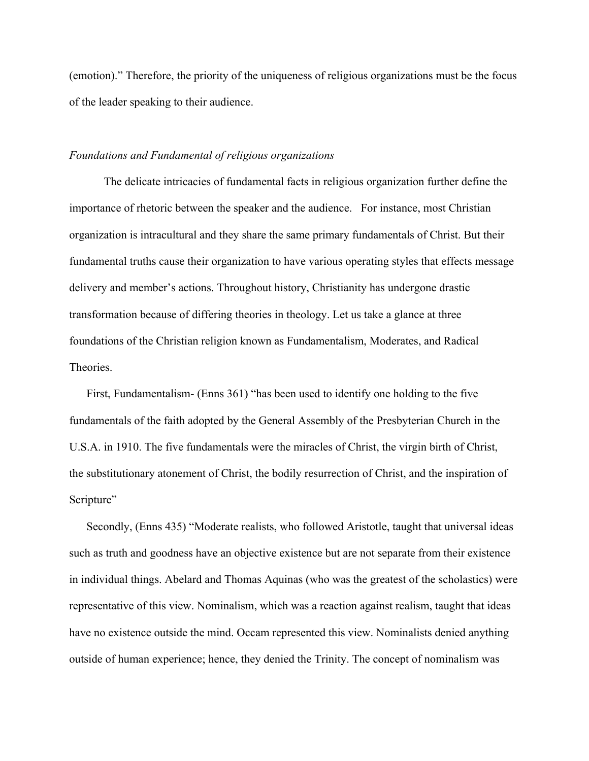(emotion)." Therefore, the priority of the uniqueness of religious organizations must be the focus of the leader speaking to their audience.

## *Foundations and Fundamental of religious organizations*

The delicate intricacies of fundamental facts in religious organization further define the importance of rhetoric between the speaker and the audience. For instance, most Christian organization is intracultural and they share the same primary fundamentals of Christ. But their fundamental truths cause their organization to have various operating styles that effects message delivery and member's actions. Throughout history, Christianity has undergone drastic transformation because of differing theories in theology. Let us take a glance at three foundations of the Christian religion known as Fundamentalism, Moderates, and Radical **Theories** 

First, Fundamentalism- (Enns 361) "has been used to identify one holding to the five fundamentals of the faith adopted by the General Assembly of the Presbyterian Church in the U.S.A. in 1910. The five fundamentals were the miracles of Christ, the virgin birth of Christ, the substitutionary atonement of Christ, the bodily resurrection of Christ, and the inspiration of Scripture"

Secondly, (Enns 435) "Moderate realists, who followed Aristotle, taught that universal ideas such as truth and goodness have an objective existence but are not separate from their existence in individual things. Abelard and Thomas Aquinas (who was the greatest of the scholastics) were representative of this view. Nominalism, which was a reaction against realism, taught that ideas have no existence outside the mind. Occam represented this view. Nominalists denied anything outside of human experience; hence, they denied the Trinity. The concept of nominalism was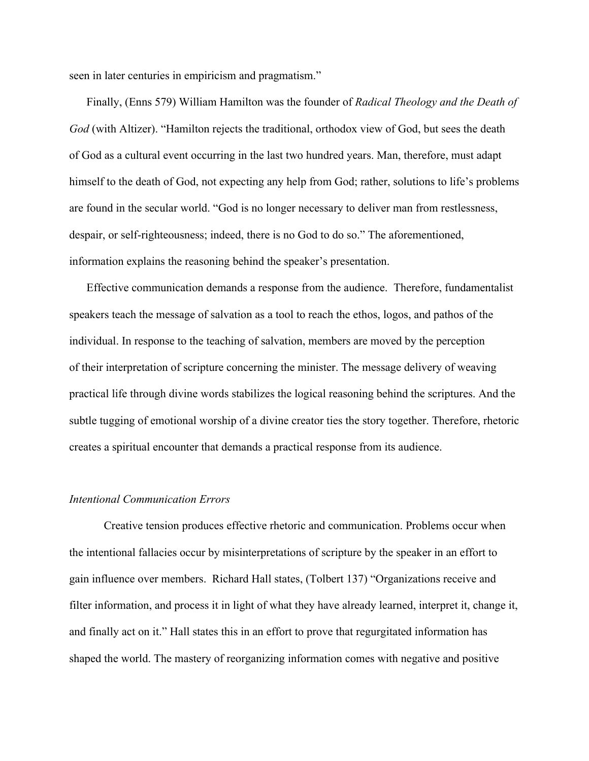seen in later centuries in empiricism and pragmatism."

Finally, (Enns 579) William Hamilton was the founder of *Radical Theology and the Death of God* (with Altizer). "Hamilton rejects the traditional, orthodox view of God, but sees the death of God as a cultural event occurring in the last two hundred years. Man, therefore, must adapt himself to the death of God, not expecting any help from God; rather, solutions to life's problems are found in the secular world. "God is no longer necessary to deliver man from restlessness, despair, or self-righteousness; indeed, there is no God to do so." The aforementioned, information explains the reasoning behind the speaker's presentation.

Effective communication demands a response from the audience. Therefore, fundamentalist speakers teach the message of salvation as a tool to reach the ethos, logos, and pathos of the individual. In response to the teaching of salvation, members are moved by the perception of their interpretation of scripture concerning the minister. The message delivery of weaving practical life through divine words stabilizes the logical reasoning behind the scriptures. And the subtle tugging of emotional worship of a divine creator ties the story together. Therefore, rhetoric creates a spiritual encounter that demands a practical response from its audience.

#### *Intentional Communication Errors*

Creative tension produces effective rhetoric and communication. Problems occur when the intentional fallacies occur by misinterpretations of scripture by the speaker in an effort to gain influence over members. Richard Hall states, (Tolbert 137) "Organizations receive and filter information, and process it in light of what they have already learned, interpret it, change it, and finally act on it." Hall states this in an effort to prove that regurgitated information has shaped the world. The mastery of reorganizing information comes with negative and positive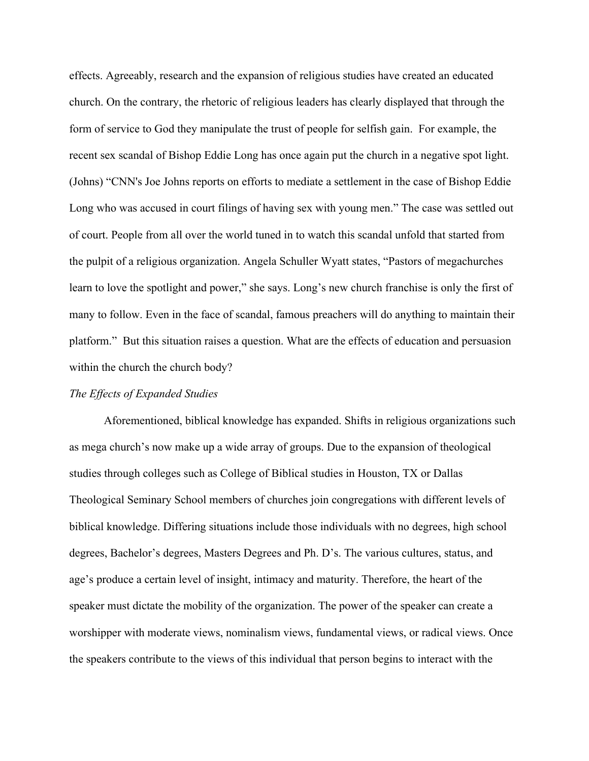effects. Agreeably, research and the expansion of religious studies have created an educated church. On the contrary, the rhetoric of religious leaders has clearly displayed that through the form of service to God they manipulate the trust of people for selfish gain. For example, the recent sex scandal of Bishop Eddie Long has once again put the church in a negative spot light. (Johns) "CNN's Joe Johns reports on efforts to mediate a settlement in the case of Bishop Eddie Long who was accused in court filings of having sex with young men." The case was settled out of court. People from all over the world tuned in to watch this scandal unfold that started from the pulpit of a religious organization. Angela Schuller Wyatt states, "Pastors of megachurches learn to love the spotlight and power," she says. Long's new church franchise is only the first of many to follow. Even in the face of scandal, famous preachers will do anything to maintain their platform." But this situation raises a question. What are the effects of education and persuasion within the church the church body?

#### *The Effects of Expanded Studies*

Aforementioned, biblical knowledge has expanded. Shifts in religious organizations such as mega church's now make up a wide array of groups. Due to the expansion of theological studies through colleges such as College of Biblical studies in Houston, TX or Dallas Theological Seminary School members of churches join congregations with different levels of biblical knowledge. Differing situations include those individuals with no degrees, high school degrees, Bachelor's degrees, Masters Degrees and Ph. D's. The various cultures, status, and age's produce a certain level of insight, intimacy and maturity. Therefore, the heart of the speaker must dictate the mobility of the organization. The power of the speaker can create a worshipper with moderate views, nominalism views, fundamental views, or radical views. Once the speakers contribute to the views of this individual that person begins to interact with the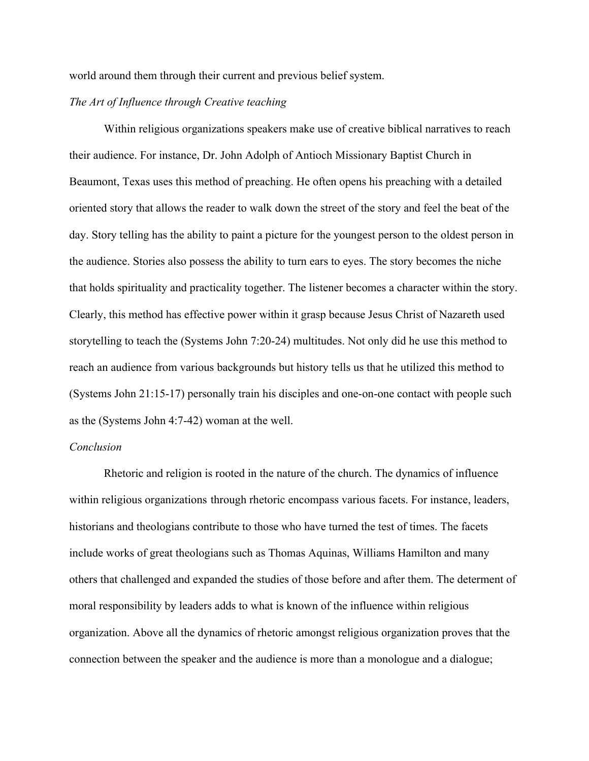world around them through their current and previous belief system.

## *The Art of Influence through Creative teaching*

Within religious organizations speakers make use of creative biblical narratives to reach their audience. For instance, Dr. John Adolph of Antioch Missionary Baptist Church in Beaumont, Texas uses this method of preaching. He often opens his preaching with a detailed oriented story that allows the reader to walk down the street of the story and feel the beat of the day. Story telling has the ability to paint a picture for the youngest person to the oldest person in the audience. Stories also possess the ability to turn ears to eyes. The story becomes the niche that holds spirituality and practicality together. The listener becomes a character within the story. Clearly, this method has effective power within it grasp because Jesus Christ of Nazareth used storytelling to teach the (Systems John 7:20-24) multitudes. Not only did he use this method to reach an audience from various backgrounds but history tells us that he utilized this method to (Systems John 21:15-17) personally train his disciples and one-on-one contact with people such as the (Systems John 4:7-42) woman at the well.

## *Conclusion*

Rhetoric and religion is rooted in the nature of the church. The dynamics of influence within religious organizations through rhetoric encompass various facets. For instance, leaders, historians and theologians contribute to those who have turned the test of times. The facets include works of great theologians such as Thomas Aquinas, Williams Hamilton and many others that challenged and expanded the studies of those before and after them. The determent of moral responsibility by leaders adds to what is known of the influence within religious organization. Above all the dynamics of rhetoric amongst religious organization proves that the connection between the speaker and the audience is more than a monologue and a dialogue;